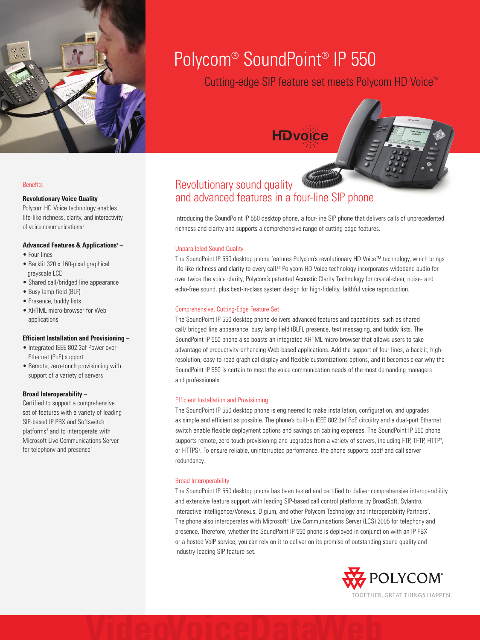

# Polycom® SoundPoint® IP 550

Cutting-edge SIP feature set meets Polycom HD Voice™

# **HDvoice**



# **Revolutionary Voice Quality** –

Polycom HD Voice technology enables life-like richness, clarity, and interactivity of voice communications<sup>5</sup>

# **Advanced Features & Applications1** –

- Four lines
- Backlit 320 x 160-pixel graphical grayscale LCD
- Shared call/bridged line appearance
- Busy lamp field (BLF)
- Presence, buddy lists
- XHTML micro-browser for Web applications

# **Efficient Installation and Provisioning** –

- Integrated IEEE 802.3af Power over Ethernet (PoE) support
- Remote, zero-touch provisioning with support of a variety of servers

# **Broad Interoperability** –

Certified to support a comprehensive set of features with a variety of leading SIP-based IP PBX and Softswitch platforms<sup>2</sup> and to interoperate with Microsoft Live Communications Server for telephony and presence<sup>4</sup>

# Revolutionary sound quality and advanced features in a four-line SIP phone

Introducing the SoundPoint IP 550 desktop phone, a four-line SIP phone that delivers calls of unprecedented richness and clarity and supports a comprehensive range of cutting-edge features.

# Unparalleled Sound Quality

The SoundPoint IP 550 desktop phone features Polycom's revolutionary HD Voice™ technology, which brings life-like richness and clarity to every call.<sup>1,5</sup> Polycom HD Voice technology incorporates wideband audio for over twice the voice clarity; Polycom's patented Acoustic Clarity Technology for crystal-clear, noise- and echo-free sound, plus best-in-class system design for high-fidelity, faithful voice reproduction.

# Comprehensive, Cutting-Edge Feature Set<sup>1</sup>

The SoundPoint IP 550 desktop phone delivers advanced features and capabilities, such as shared call/ bridged line appearance, busy lamp field (BLF), presence, text messaging, and buddy lists. The SoundPoint IP 550 phone also boasts an integrated XHTML micro-browser that allows users to take advantage of productivity-enhancing Web-based applications. Add the support of four lines, a backlit, highresolution, easy-to-read graphical display and flexible customizations options, and it becomes clear why the SoundPoint IP 550 is certain to meet the voice communication needs of the most demanding managers and professionals.

# Efficient Installation and Provisioning

The SoundPoint IP 550 desktop phone is engineered to make installation, configuration, and upgrades as simple and efficient as possible. The phone's built-in IEEE 802.3af PoE circuitry and a dual-port Ethernet switch enable flexible deployment options and savings on cabling expenses. The SoundPoint IP 550 phone supports remote, zero-touch provisioning and upgrades from a variety of servers, including FTP, TFTP, HTTP<sup>3</sup>, or HTTPS<sup>3</sup>. To ensure reliable, uninterrupted performance, the phone supports boot<sup>4</sup> and call server redundancy.

# Broad Interoperability

The SoundPoint IP 550 desktop phone has been tested and certified to deliver comprehensive interoperability and extensive feature support with leading SIP-based call control platforms by BroadSoft, Sylantro, Interactive Intelligence/Vonexus, Digium, and other Polycom Technology and Interoperability Partners<sup>2</sup>. The phone also interoperates with Microsoft® Live Communications Server (LCS) 2005 for telephony and presence. Therefore, whether the SoundPoint IP 550 phone is deployed in conjunction with an IP PBX or a hosted VoIP service, you can rely on it to deliver on its promise of outstanding sound quality and industry-leading SIP feature set.